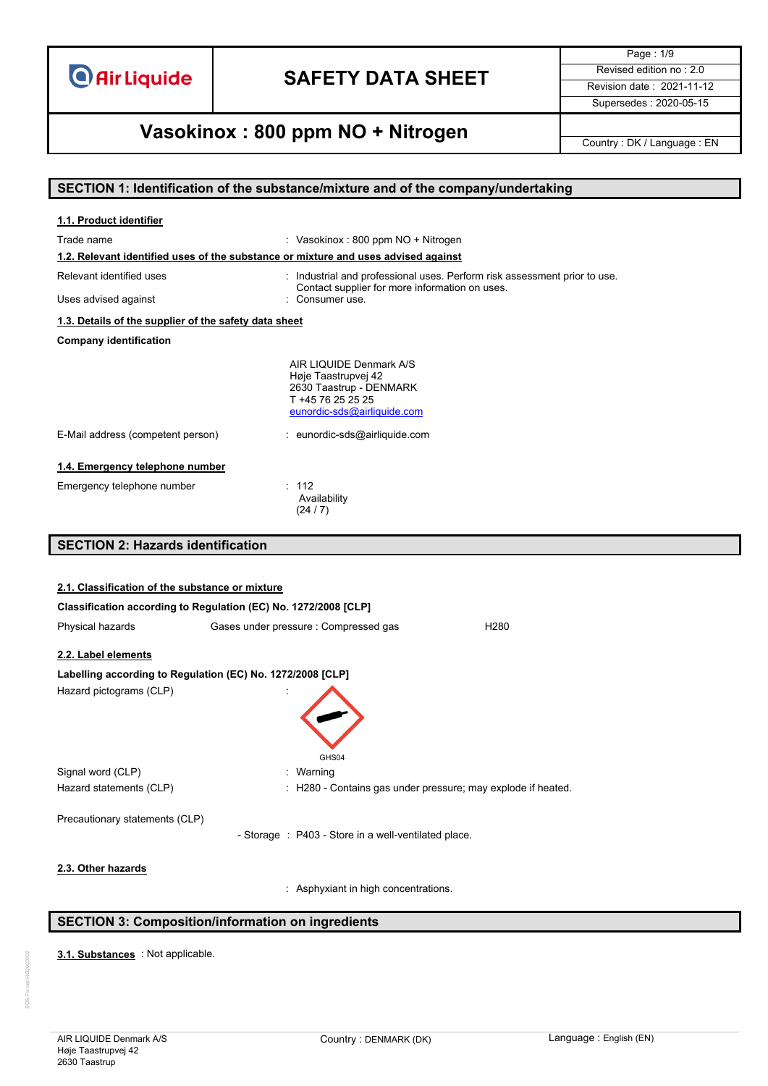

Page : 1/9 Supersedes : 2020-05-15

## **Vasokinox : 800 ppm NO + Nitrogen** Country : DK / Language : EN

#### **SECTION 1: Identification of the substance/mixture and of the company/undertaking**

| Trade name<br>: Vasokinox : 800 ppm NO + Nitrogen<br>1.2. Relevant identified uses of the substance or mixture and uses advised against<br>Relevant identified uses<br>: Industrial and professional uses. Perform risk assessment prior to use.<br>Contact supplier for more information on uses.<br>: Consumer use.<br>Uses advised against<br>1.3. Details of the supplier of the safety data sheet<br><b>Company identification</b><br>AIR LIQUIDE Denmark A/S<br>Høje Taastrupvej 42<br>2630 Taastrup - DENMARK<br>T +45 76 25 25 25<br>eunordic-sds@airliquide.com<br>E-Mail address (competent person)<br>: eunordic-sds@airliquide.com<br>1.4. Emergency telephone number<br>Emergency telephone number<br>: 112<br>Availability<br>(24/7)<br><b>SECTION 2: Hazards identification</b><br>2.1. Classification of the substance or mixture<br>Classification according to Regulation (EC) No. 1272/2008 [CLP]<br>Gases under pressure : Compressed gas<br>H <sub>280</sub><br>Physical hazards<br>2.2. Label elements<br>Labelling according to Regulation (EC) No. 1272/2008 [CLP]<br>Hazard pictograms (CLP)<br>GHS04<br>Signal word (CLP)<br>: Warning<br>Hazard statements (CLP)<br>: H280 - Contains gas under pressure; may explode if heated. | 1.1. Product identifier        |  |
|-------------------------------------------------------------------------------------------------------------------------------------------------------------------------------------------------------------------------------------------------------------------------------------------------------------------------------------------------------------------------------------------------------------------------------------------------------------------------------------------------------------------------------------------------------------------------------------------------------------------------------------------------------------------------------------------------------------------------------------------------------------------------------------------------------------------------------------------------------------------------------------------------------------------------------------------------------------------------------------------------------------------------------------------------------------------------------------------------------------------------------------------------------------------------------------------------------------------------------------------------------------|--------------------------------|--|
|                                                                                                                                                                                                                                                                                                                                                                                                                                                                                                                                                                                                                                                                                                                                                                                                                                                                                                                                                                                                                                                                                                                                                                                                                                                             |                                |  |
|                                                                                                                                                                                                                                                                                                                                                                                                                                                                                                                                                                                                                                                                                                                                                                                                                                                                                                                                                                                                                                                                                                                                                                                                                                                             |                                |  |
|                                                                                                                                                                                                                                                                                                                                                                                                                                                                                                                                                                                                                                                                                                                                                                                                                                                                                                                                                                                                                                                                                                                                                                                                                                                             |                                |  |
|                                                                                                                                                                                                                                                                                                                                                                                                                                                                                                                                                                                                                                                                                                                                                                                                                                                                                                                                                                                                                                                                                                                                                                                                                                                             |                                |  |
|                                                                                                                                                                                                                                                                                                                                                                                                                                                                                                                                                                                                                                                                                                                                                                                                                                                                                                                                                                                                                                                                                                                                                                                                                                                             |                                |  |
|                                                                                                                                                                                                                                                                                                                                                                                                                                                                                                                                                                                                                                                                                                                                                                                                                                                                                                                                                                                                                                                                                                                                                                                                                                                             |                                |  |
|                                                                                                                                                                                                                                                                                                                                                                                                                                                                                                                                                                                                                                                                                                                                                                                                                                                                                                                                                                                                                                                                                                                                                                                                                                                             |                                |  |
|                                                                                                                                                                                                                                                                                                                                                                                                                                                                                                                                                                                                                                                                                                                                                                                                                                                                                                                                                                                                                                                                                                                                                                                                                                                             |                                |  |
|                                                                                                                                                                                                                                                                                                                                                                                                                                                                                                                                                                                                                                                                                                                                                                                                                                                                                                                                                                                                                                                                                                                                                                                                                                                             |                                |  |
|                                                                                                                                                                                                                                                                                                                                                                                                                                                                                                                                                                                                                                                                                                                                                                                                                                                                                                                                                                                                                                                                                                                                                                                                                                                             |                                |  |
|                                                                                                                                                                                                                                                                                                                                                                                                                                                                                                                                                                                                                                                                                                                                                                                                                                                                                                                                                                                                                                                                                                                                                                                                                                                             |                                |  |
|                                                                                                                                                                                                                                                                                                                                                                                                                                                                                                                                                                                                                                                                                                                                                                                                                                                                                                                                                                                                                                                                                                                                                                                                                                                             |                                |  |
|                                                                                                                                                                                                                                                                                                                                                                                                                                                                                                                                                                                                                                                                                                                                                                                                                                                                                                                                                                                                                                                                                                                                                                                                                                                             |                                |  |
|                                                                                                                                                                                                                                                                                                                                                                                                                                                                                                                                                                                                                                                                                                                                                                                                                                                                                                                                                                                                                                                                                                                                                                                                                                                             |                                |  |
|                                                                                                                                                                                                                                                                                                                                                                                                                                                                                                                                                                                                                                                                                                                                                                                                                                                                                                                                                                                                                                                                                                                                                                                                                                                             |                                |  |
|                                                                                                                                                                                                                                                                                                                                                                                                                                                                                                                                                                                                                                                                                                                                                                                                                                                                                                                                                                                                                                                                                                                                                                                                                                                             |                                |  |
|                                                                                                                                                                                                                                                                                                                                                                                                                                                                                                                                                                                                                                                                                                                                                                                                                                                                                                                                                                                                                                                                                                                                                                                                                                                             |                                |  |
|                                                                                                                                                                                                                                                                                                                                                                                                                                                                                                                                                                                                                                                                                                                                                                                                                                                                                                                                                                                                                                                                                                                                                                                                                                                             |                                |  |
|                                                                                                                                                                                                                                                                                                                                                                                                                                                                                                                                                                                                                                                                                                                                                                                                                                                                                                                                                                                                                                                                                                                                                                                                                                                             |                                |  |
|                                                                                                                                                                                                                                                                                                                                                                                                                                                                                                                                                                                                                                                                                                                                                                                                                                                                                                                                                                                                                                                                                                                                                                                                                                                             |                                |  |
|                                                                                                                                                                                                                                                                                                                                                                                                                                                                                                                                                                                                                                                                                                                                                                                                                                                                                                                                                                                                                                                                                                                                                                                                                                                             |                                |  |
| - Storage : P403 - Store in a well-ventilated place.                                                                                                                                                                                                                                                                                                                                                                                                                                                                                                                                                                                                                                                                                                                                                                                                                                                                                                                                                                                                                                                                                                                                                                                                        |                                |  |
|                                                                                                                                                                                                                                                                                                                                                                                                                                                                                                                                                                                                                                                                                                                                                                                                                                                                                                                                                                                                                                                                                                                                                                                                                                                             | Precautionary statements (CLP) |  |

**2.3. Other hazards**

: Asphyxiant in high concentrations.

#### **SECTION 3: Composition/information on ingredients**

3.1. **Substances** : Not applicable.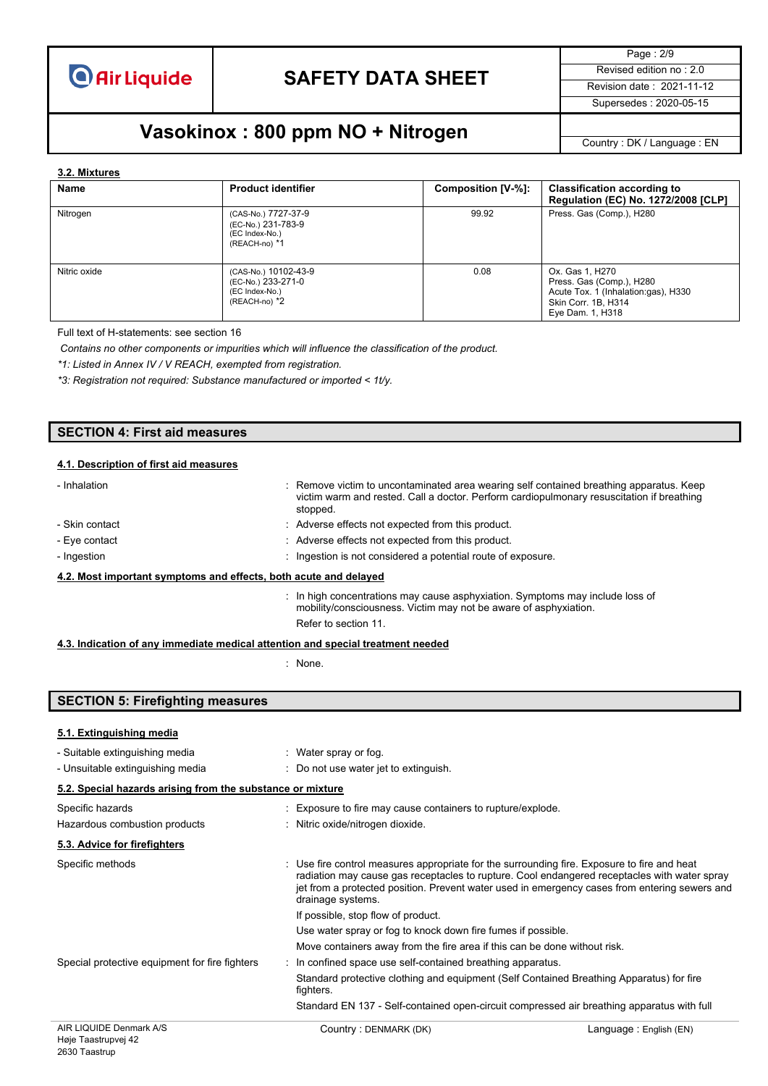

Page : 2/9 Supersedes : 2020-05-15

## **Vasokinox : 800 ppm NO + Nitrogen** Country : DK / Language : EN

#### **3.2. Mixtures**

| Name         | <b>Product identifier</b>                                                         | Composition [V-%]: | <b>Classification according to</b><br>Regulation (EC) No. 1272/2008 [CLP]                                                     |
|--------------|-----------------------------------------------------------------------------------|--------------------|-------------------------------------------------------------------------------------------------------------------------------|
| Nitrogen     | (CAS-No.) 7727-37-9<br>(EC-No.) 231-783-9<br>(EC Index-No.)<br>(REACH-no) *1      | 99.92              | Press. Gas (Comp.), H280                                                                                                      |
| Nitric oxide | (CAS-No.) 10102-43-9<br>(EC-No.) 233-271-0<br>(EC Index-No.)<br>$(REACH-no)$ $*2$ | 0.08               | Ox. Gas 1, H270<br>Press. Gas (Comp.), H280<br>Acute Tox. 1 (Inhalation:gas), H330<br>Skin Corr. 1B, H314<br>Eye Dam. 1, H318 |

Full text of H-statements: see section 16

*Contains no other components or impurities which will influence the classification of the product.*

*\*1: Listed in Annex IV / V REACH, exempted from registration.*

*\*3: Registration not required: Substance manufactured or imported < 1t/y.*

#### **SECTION 4: First aid measures**

#### **4.1. Description of first aid measures**

| - Inhalation                                                     | : Remove victim to uncontaminated area wearing self contained breathing apparatus. Keep<br>victim warm and rested. Call a doctor. Perform cardiopulmonary resuscitation if breathing<br>stopped. |
|------------------------------------------------------------------|--------------------------------------------------------------------------------------------------------------------------------------------------------------------------------------------------|
| - Skin contact                                                   | : Adverse effects not expected from this product.                                                                                                                                                |
| - Eye contact                                                    | : Adverse effects not expected from this product.                                                                                                                                                |
| - Ingestion                                                      | : Ingestion is not considered a potential route of exposure.                                                                                                                                     |
| 4.2. Most important symptoms and effects, both acute and delayed |                                                                                                                                                                                                  |
|                                                                  | $\therefore$ In high concentrations may cause asphyxiation. Symptoms may include loss of<br>mobility/consciousness. Victim may not be aware of asphyxiation.                                     |

Refer to section 11.

#### **4.3. Indication of any immediate medical attention and special treatment needed**

: None.

#### **SECTION 5: Firefighting measures**

#### **5.1. Extinguishing media**

| - Suitable extinguishing media                             | : Water spray or fog.                                                                                                                                                                                                                                                                                             |
|------------------------------------------------------------|-------------------------------------------------------------------------------------------------------------------------------------------------------------------------------------------------------------------------------------------------------------------------------------------------------------------|
| - Unsuitable extinguishing media                           | : Do not use water jet to extinguish.                                                                                                                                                                                                                                                                             |
| 5.2. Special hazards arising from the substance or mixture |                                                                                                                                                                                                                                                                                                                   |
| Specific hazards                                           | : Exposure to fire may cause containers to rupture/explode.                                                                                                                                                                                                                                                       |
| Hazardous combustion products                              | : Nitric oxide/nitrogen dioxide.                                                                                                                                                                                                                                                                                  |
| 5.3. Advice for firefighters                               |                                                                                                                                                                                                                                                                                                                   |
| Specific methods                                           | : Use fire control measures appropriate for the surrounding fire. Exposure to fire and heat<br>radiation may cause gas receptacles to rupture. Cool endangered receptacles with water spray<br>jet from a protected position. Prevent water used in emergency cases from entering sewers and<br>drainage systems. |
|                                                            | If possible, stop flow of product.                                                                                                                                                                                                                                                                                |
|                                                            | Use water spray or fog to knock down fire fumes if possible.                                                                                                                                                                                                                                                      |
|                                                            | Move containers away from the fire area if this can be done without risk.                                                                                                                                                                                                                                         |
| Special protective equipment for fire fighters             | : In confined space use self-contained breathing apparatus.                                                                                                                                                                                                                                                       |
|                                                            | Standard protective clothing and equipment (Self Contained Breathing Apparatus) for fire<br>fighters.                                                                                                                                                                                                             |
|                                                            | Standard EN 137 - Self-contained open-circuit compressed air breathing apparatus with full                                                                                                                                                                                                                        |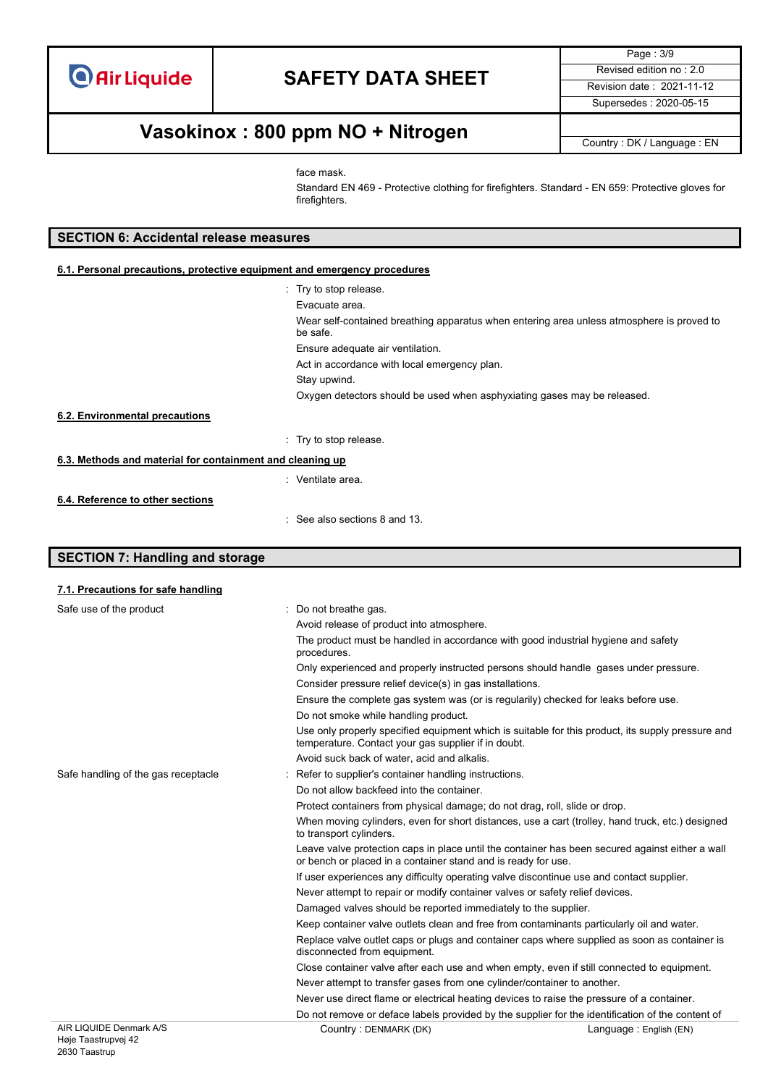Page : 3/9 Supersedes : 2020-05-15

## **Vasokinox : 800 ppm NO + Nitrogen** Country : DK / Language : EN

face mask.

Standard EN 469 - Protective clothing for firefighters. Standard - EN 659: Protective gloves for firefighters.

#### **SECTION 6: Accidental release measures**

#### **6.1. Personal precautions, protective equipment and emergency procedures**

|                                                           | : Try to stop release.                                                                                |
|-----------------------------------------------------------|-------------------------------------------------------------------------------------------------------|
|                                                           | Evacuate area.                                                                                        |
|                                                           | Wear self-contained breathing apparatus when entering area unless atmosphere is proved to<br>be safe. |
|                                                           | Ensure adequate air ventilation.                                                                      |
|                                                           | Act in accordance with local emergency plan.                                                          |
|                                                           | Stay upwind.                                                                                          |
|                                                           | Oxygen detectors should be used when asphyxiating gases may be released.                              |
| 6.2. Environmental precautions                            |                                                                                                       |
|                                                           | Try to stop release.                                                                                  |
| 6.3. Methods and material for containment and cleaning up |                                                                                                       |
|                                                           | : Ventilate area.                                                                                     |
| 6.4. Reference to other sections                          |                                                                                                       |
|                                                           | $\therefore$ See also sections 8 and 13.                                                              |

### **SECTION 7: Handling and storage**

| 7.1. Precautions for safe handling  |                                                                                                  |                                                                                                   |
|-------------------------------------|--------------------------------------------------------------------------------------------------|---------------------------------------------------------------------------------------------------|
| Safe use of the product             | : Do not breathe gas.                                                                            |                                                                                                   |
|                                     | Avoid release of product into atmosphere.                                                        |                                                                                                   |
|                                     | The product must be handled in accordance with good industrial hygiene and safety<br>procedures. |                                                                                                   |
|                                     | Only experienced and properly instructed persons should handle gases under pressure.             |                                                                                                   |
|                                     | Consider pressure relief device(s) in gas installations.                                         |                                                                                                   |
|                                     | Ensure the complete gas system was (or is regularily) checked for leaks before use.              |                                                                                                   |
|                                     | Do not smoke while handling product.                                                             |                                                                                                   |
|                                     | temperature. Contact your gas supplier if in doubt.                                              | Use only properly specified equipment which is suitable for this product, its supply pressure and |
|                                     | Avoid suck back of water, acid and alkalis.                                                      |                                                                                                   |
| Safe handling of the gas receptacle | Refer to supplier's container handling instructions.                                             |                                                                                                   |
|                                     | Do not allow backfeed into the container.                                                        |                                                                                                   |
|                                     | Protect containers from physical damage; do not drag, roll, slide or drop.                       |                                                                                                   |
|                                     | to transport cylinders.                                                                          | When moving cylinders, even for short distances, use a cart (trolley, hand truck, etc.) designed  |
|                                     | or bench or placed in a container stand and is ready for use.                                    | Leave valve protection caps in place until the container has been secured against either a wall   |
|                                     | If user experiences any difficulty operating valve discontinue use and contact supplier.         |                                                                                                   |
|                                     | Never attempt to repair or modify container valves or safety relief devices.                     |                                                                                                   |
|                                     | Damaged valves should be reported immediately to the supplier.                                   |                                                                                                   |
|                                     | Keep container valve outlets clean and free from contaminants particularly oil and water.        |                                                                                                   |
|                                     | disconnected from equipment.                                                                     | Replace valve outlet caps or plugs and container caps where supplied as soon as container is      |
|                                     | Close container valve after each use and when empty, even if still connected to equipment.       |                                                                                                   |
|                                     | Never attempt to transfer gases from one cylinder/container to another.                          |                                                                                                   |
|                                     | Never use direct flame or electrical heating devices to raise the pressure of a container.       |                                                                                                   |
|                                     |                                                                                                  | Do not remove or deface labels provided by the supplier for the identification of the content of  |
| AIR LIQUIDE Denmark A/S             | Country: DENMARK (DK)                                                                            | Language: English (EN)                                                                            |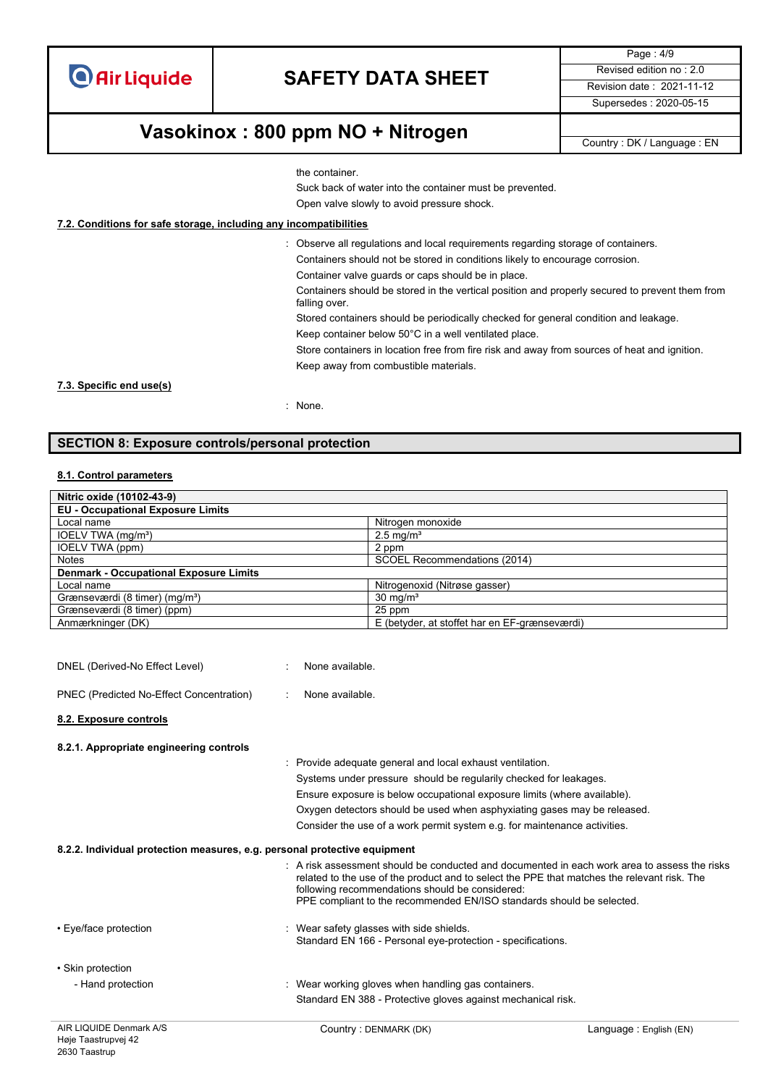**O** Air Liquide

### **SAFETY DATA SHEET** Revised edition no : 2.0

Page : 4/9 Supersedes : 2020-05-15

### **Vasokinox : 800 ppm NO + Nitrogen** Country : DK / Language : EN

the container.

Suck back of water into the container must be prevented.

Open valve slowly to avoid pressure shock.

#### **7.2. Conditions for safe storage, including any incompatibilities**

: Observe all regulations and local requirements regarding storage of containers. Containers should not be stored in conditions likely to encourage corrosion.

Container valve guards or caps should be in place.

Containers should be stored in the vertical position and properly secured to prevent them from falling over.

Stored containers should be periodically checked for general condition and leakage.

Keep container below 50°C in a well ventilated place.

Store containers in location free from fire risk and away from sources of heat and ignition. Keep away from combustible materials.

**7.3. Specific end use(s)**

: None.

#### **SECTION 8: Exposure controls/personal protection**

#### **8.1. Control parameters**

| Nitric oxide (10102-43-9)                     |                                               |
|-----------------------------------------------|-----------------------------------------------|
| <b>EU - Occupational Exposure Limits</b>      |                                               |
| Local name                                    | Nitrogen monoxide                             |
| IOELV TWA (mg/m <sup>3</sup> )                | $2.5 \text{ mg/m}^3$                          |
| IOELV TWA (ppm)                               | 2 ppm                                         |
| <b>Notes</b>                                  | SCOEL Recommendations (2014)                  |
| <b>Denmark - Occupational Exposure Limits</b> |                                               |
| Local name                                    | Nitrogenoxid (Nitrøse gasser)                 |
| Grænseværdi (8 timer) (mg/m <sup>3</sup> )    | $30 \text{ mg/m}^3$                           |
| Grænseværdi (8 timer) (ppm)                   | 25 ppm                                        |
| Anmærkninger (DK)                             | E (betyder, at stoffet har en EF-grænseværdi) |

| AIR LIQUIDE Denmark A/S                                                   | Country: DENMARK (DK)                                                                                                                                                                                                                                                                                                              | Language: English (EN) |
|---------------------------------------------------------------------------|------------------------------------------------------------------------------------------------------------------------------------------------------------------------------------------------------------------------------------------------------------------------------------------------------------------------------------|------------------------|
|                                                                           | Standard EN 388 - Protective gloves against mechanical risk.                                                                                                                                                                                                                                                                       |                        |
| - Hand protection                                                         | Wear working gloves when handling gas containers.                                                                                                                                                                                                                                                                                  |                        |
| • Skin protection                                                         |                                                                                                                                                                                                                                                                                                                                    |                        |
| • Eye/face protection                                                     | : Wear safety glasses with side shields.<br>Standard EN 166 - Personal eye-protection - specifications.                                                                                                                                                                                                                            |                        |
|                                                                           | $\therefore$ A risk assessment should be conducted and documented in each work area to assess the risks<br>related to the use of the product and to select the PPE that matches the relevant risk. The<br>following recommendations should be considered:<br>PPE compliant to the recommended EN/ISO standards should be selected. |                        |
| 8.2.2. Individual protection measures, e.g. personal protective equipment |                                                                                                                                                                                                                                                                                                                                    |                        |
|                                                                           | Consider the use of a work permit system e.g. for maintenance activities.                                                                                                                                                                                                                                                          |                        |
|                                                                           | Oxygen detectors should be used when asphyxiating gases may be released.                                                                                                                                                                                                                                                           |                        |
|                                                                           | Ensure exposure is below occupational exposure limits (where available).                                                                                                                                                                                                                                                           |                        |
|                                                                           | Systems under pressure should be regularily checked for leakages.                                                                                                                                                                                                                                                                  |                        |
|                                                                           | Provide adequate general and local exhaust ventilation.                                                                                                                                                                                                                                                                            |                        |
| 8.2.1. Appropriate engineering controls                                   |                                                                                                                                                                                                                                                                                                                                    |                        |
| 8.2. Exposure controls                                                    |                                                                                                                                                                                                                                                                                                                                    |                        |
| PNEC (Predicted No-Effect Concentration)                                  | None available.<br>$\bullet$                                                                                                                                                                                                                                                                                                       |                        |
|                                                                           |                                                                                                                                                                                                                                                                                                                                    |                        |
| DNEL (Derived-No Effect Level)                                            | None available.                                                                                                                                                                                                                                                                                                                    |                        |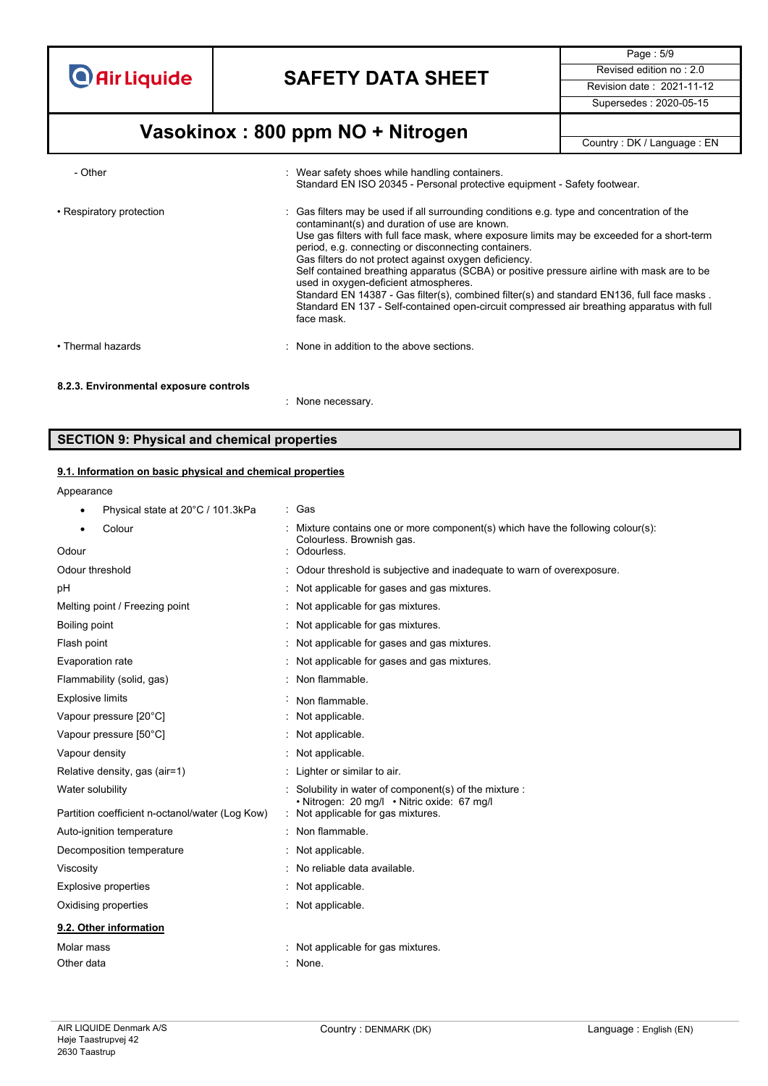

Page : 5/9 Supersedes : 2020-05-15

## **Vasokinox : 800 ppm NO + Nitrogen** Country : DK / Language : EN

| - Other                                | : Wear safety shoes while handling containers.<br>Standard EN ISO 20345 - Personal protective equipment - Safety footwear.                                                                                                                                                                                                                                                                                                                                                                                                                                                                                                                                                                                 |
|----------------------------------------|------------------------------------------------------------------------------------------------------------------------------------------------------------------------------------------------------------------------------------------------------------------------------------------------------------------------------------------------------------------------------------------------------------------------------------------------------------------------------------------------------------------------------------------------------------------------------------------------------------------------------------------------------------------------------------------------------------|
| • Respiratory protection               | Gas filters may be used if all surrounding conditions e.g. type and concentration of the<br>contaminant(s) and duration of use are known.<br>Use gas filters with full face mask, where exposure limits may be exceeded for a short-term<br>period, e.g. connecting or disconnecting containers.<br>Gas filters do not protect against oxygen deficiency.<br>Self contained breathing apparatus (SCBA) or positive pressure airline with mask are to be<br>used in oxygen-deficient atmospheres.<br>Standard EN 14387 - Gas filter(s), combined filter(s) and standard EN136, full face masks.<br>Standard EN 137 - Self-contained open-circuit compressed air breathing apparatus with full<br>face mask. |
| • Thermal hazards                      | : None in addition to the above sections.                                                                                                                                                                                                                                                                                                                                                                                                                                                                                                                                                                                                                                                                  |
| 8.2.3. Environmental exposure controls | None necessary.                                                                                                                                                                                                                                                                                                                                                                                                                                                                                                                                                                                                                                                                                            |

#### **SECTION 9: Physical and chemical properties**

#### **9.1. Information on basic physical and chemical properties**

Annearance

| Physical state at 20°C / 101.3kPa<br>$\bullet$  | : Gas                                                                                                      |
|-------------------------------------------------|------------------------------------------------------------------------------------------------------------|
| Colour                                          | Mixture contains one or more component(s) which have the following colour(s):<br>Colourless. Brownish gas. |
| Odour                                           | Odourless.                                                                                                 |
| Odour threshold                                 | Odour threshold is subjective and inadequate to warn of overexposure.                                      |
| рH                                              | Not applicable for gases and gas mixtures.                                                                 |
| Melting point / Freezing point                  | Not applicable for gas mixtures.                                                                           |
| Boiling point                                   | Not applicable for gas mixtures.                                                                           |
| Flash point                                     | Not applicable for gases and gas mixtures.                                                                 |
| Evaporation rate                                | Not applicable for gases and gas mixtures.                                                                 |
| Flammability (solid, gas)                       | Non flammable.                                                                                             |
| <b>Explosive limits</b>                         | Non flammable.                                                                                             |
| Vapour pressure [20°C]                          | Not applicable.                                                                                            |
| Vapour pressure [50°C]                          | Not applicable.                                                                                            |
| Vapour density                                  | Not applicable.                                                                                            |
| Relative density, gas (air=1)                   | Lighter or similar to air.                                                                                 |
| Water solubility                                | Solubility in water of component(s) of the mixture :                                                       |
| Partition coefficient n-octanol/water (Log Kow) | . Nitrogen: 20 mg/l . Nitric oxide: 67 mg/l<br>Not applicable for gas mixtures.                            |
| Auto-ignition temperature                       | Non flammable.                                                                                             |
| Decomposition temperature                       | Not applicable.                                                                                            |
| Viscosity                                       | No reliable data available.                                                                                |
| <b>Explosive properties</b>                     | Not applicable.                                                                                            |
| Oxidising properties                            | Not applicable.                                                                                            |
| 9.2. Other information                          |                                                                                                            |
| Molar mass                                      | Not applicable for gas mixtures.                                                                           |
| Other data                                      | : None.                                                                                                    |
|                                                 |                                                                                                            |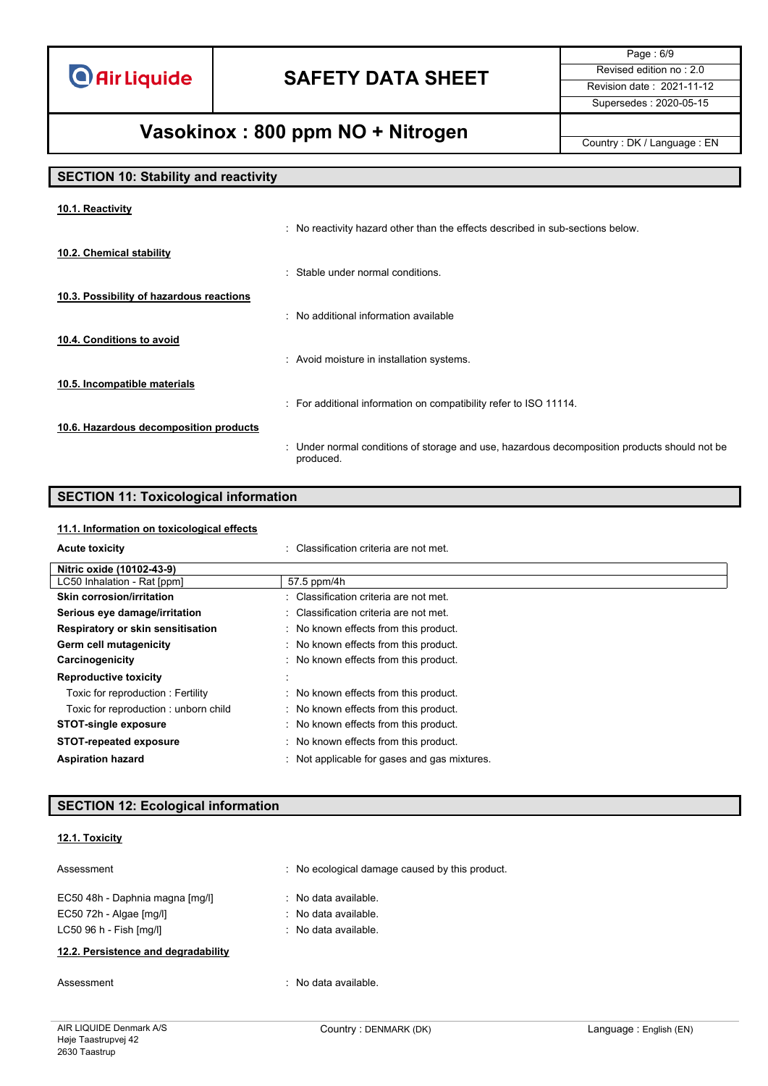**O** Air Liquide

## **SAFETY DATA SHEET** Revised edition no : 2.0

Page : 6/9 Supersedes : 2020-05-15

## **Vasokinox : 800 ppm NO + Nitrogen** Country : DK / Language : EN

### **SECTION 10: Stability and reactivity**

| 10.1. Reactivity                         |                                                                                                           |
|------------------------------------------|-----------------------------------------------------------------------------------------------------------|
|                                          | : No reactivity hazard other than the effects described in sub-sections below.                            |
| 10.2. Chemical stability                 |                                                                                                           |
|                                          | : Stable under normal conditions.                                                                         |
| 10.3. Possibility of hazardous reactions |                                                                                                           |
|                                          | : No additional information available                                                                     |
| 10.4. Conditions to avoid                |                                                                                                           |
|                                          | : Avoid moisture in installation systems.                                                                 |
| 10.5. Incompatible materials             |                                                                                                           |
|                                          | : For additional information on compatibility refer to ISO 11114.                                         |
| 10.6. Hazardous decomposition products   |                                                                                                           |
|                                          | : Under normal conditions of storage and use, hazardous decomposition products should not be<br>produced. |

# **SECTION 11: Toxicological information**

#### **11.1. Information on toxicological effects**

| <b>Acute toxicity</b>                | : Classification criteria are not met.       |
|--------------------------------------|----------------------------------------------|
| Nitric oxide (10102-43-9)            |                                              |
| LC50 Inhalation - Rat [ppm]          | 57.5 ppm/4h                                  |
| <b>Skin corrosion/irritation</b>     | : Classification criteria are not met.       |
| Serious eye damage/irritation        | : Classification criteria are not met.       |
| Respiratory or skin sensitisation    | : No known effects from this product.        |
| Germ cell mutagenicity               | : No known effects from this product.        |
| Carcinogenicity                      | : No known effects from this product.        |
| <b>Reproductive toxicity</b>         |                                              |
| Toxic for reproduction: Fertility    | : No known effects from this product.        |
| Toxic for reproduction: unborn child | : No known effects from this product.        |
| <b>STOT-single exposure</b>          | : No known effects from this product.        |
| <b>STOT-repeated exposure</b>        | : No known effects from this product.        |
| <b>Aspiration hazard</b>             | : Not applicable for gases and gas mixtures. |

### **SECTION 12: Ecological information**

#### **12.1. Toxicity**

| Assessment                                                                                    | No ecological damage caused by this product.                                               |
|-----------------------------------------------------------------------------------------------|--------------------------------------------------------------------------------------------|
| EC50 48h - Daphnia magna [mq/l]<br>$EC50$ 72h - Algae $[mq/l]$<br>$LC50$ 96 h - Fish $[mq/l]$ | $\therefore$ No data available.<br>$\therefore$ No data available.<br>. No data available. |
| 12.2. Persistence and degradability                                                           |                                                                                            |

example of the set of the set of the set of the set of the set of the set of the set of the set of the set of the set of the set of the set of the set of the set of the set of the set of the set of the set of the set of th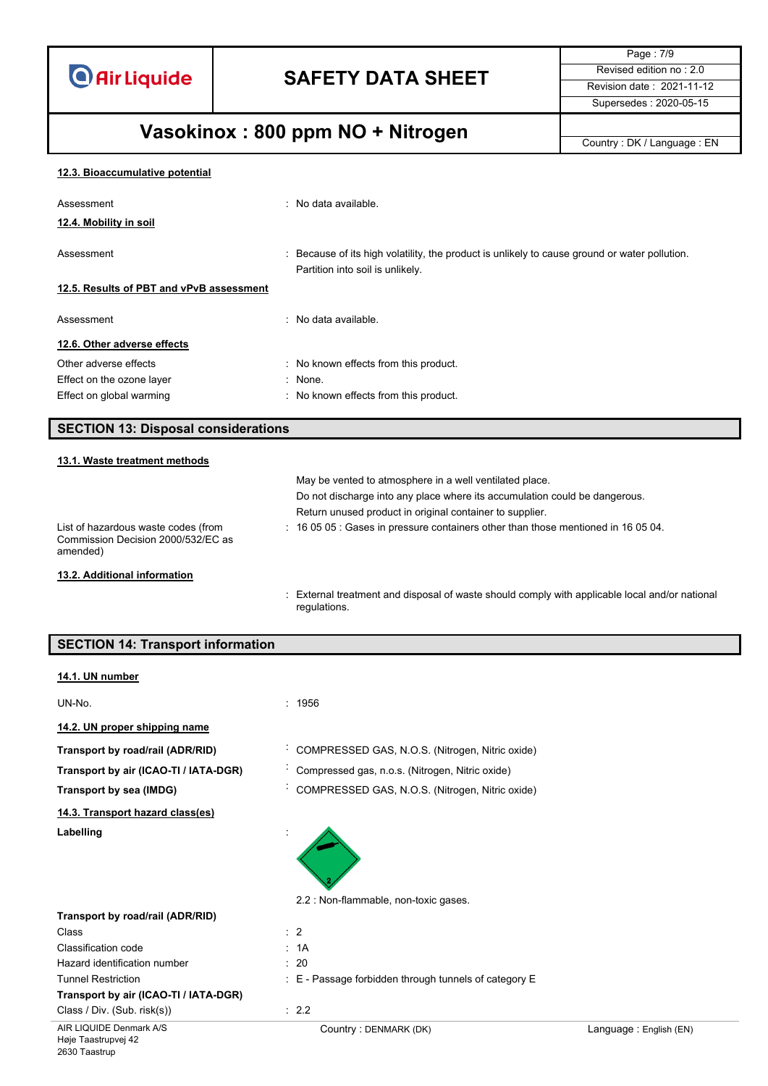**O** Air Liquide

## **SAFETY DATA SHEET** Revised edition no : 2.0

Page : 7/9 Supersedes : 2020-05-15

# **Vasokinox : 800 ppm NO + Nitrogen** Country : DK / Language : EN

| 12.3. Bioaccumulative potential |  |
|---------------------------------|--|
|                                 |  |

| Assessment                                                                            | No data available.                                                                                                                |
|---------------------------------------------------------------------------------------|-----------------------------------------------------------------------------------------------------------------------------------|
| 12.4. Mobility in soil                                                                |                                                                                                                                   |
| Assessment                                                                            | : Because of its high volatility, the product is unlikely to cause ground or water pollution.<br>Partition into soil is unlikely. |
| 12.5. Results of PBT and vPvB assessment                                              |                                                                                                                                   |
| Assessment                                                                            | No data available.                                                                                                                |
| 12.6. Other adverse effects                                                           |                                                                                                                                   |
| Other adverse effects                                                                 | : No known effects from this product.                                                                                             |
| Effect on the ozone layer                                                             | : None.                                                                                                                           |
| Effect on global warming                                                              | : No known effects from this product.                                                                                             |
| <b>SECTION 13: Disposal considerations</b>                                            |                                                                                                                                   |
| 13.1. Waste treatment methods                                                         |                                                                                                                                   |
|                                                                                       | May be vented to atmosphere in a well ventilated place.                                                                           |
|                                                                                       | Do not discharge into any place where its accumulation could be dangerous.                                                        |
|                                                                                       | Return unused product in original container to supplier.                                                                          |
| List of hazardous waste codes (from<br>Commission Decision 2000/532/EC as<br>amended) | $\div$ 16 05 05 $\div$ Gases in pressure containers other than those mentioned in 16 05 04.                                       |

**13.2. Additional information**

I

: External treatment and disposal of waste should comply with applicable local and/or national regulations.

| <b>SECTION 14: Transport information</b> |                                                       |                        |
|------------------------------------------|-------------------------------------------------------|------------------------|
| 14.1. UN number                          |                                                       |                        |
|                                          |                                                       |                        |
| UN-No.                                   | : 1956                                                |                        |
| 14.2. UN proper shipping name            |                                                       |                        |
| Transport by road/rail (ADR/RID)         | COMPRESSED GAS, N.O.S. (Nitrogen, Nitric oxide)       |                        |
| Transport by air (ICAO-TI / IATA-DGR)    | Compressed gas, n.o.s. (Nitrogen, Nitric oxide)       |                        |
| Transport by sea (IMDG)                  | COMPRESSED GAS, N.O.S. (Nitrogen, Nitric oxide)       |                        |
| 14.3. Transport hazard class(es)         |                                                       |                        |
| Labelling                                |                                                       |                        |
|                                          | 2.2 : Non-flammable, non-toxic gases.                 |                        |
| Transport by road/rail (ADR/RID)         |                                                       |                        |
| Class                                    | $\therefore$ 2                                        |                        |
| Classification code                      | : 1A                                                  |                        |
| Hazard identification number             | : 20                                                  |                        |
| <b>Tunnel Restriction</b>                | : E - Passage forbidden through tunnels of category E |                        |
| Transport by air (ICAO-TI / IATA-DGR)    |                                                       |                        |
| Class / Div. (Sub. risk(s))              | : 2.2                                                 |                        |
| AIR LIQUIDE Denmark A/S                  | Country: DENMARK (DK)                                 | Language: English (EN) |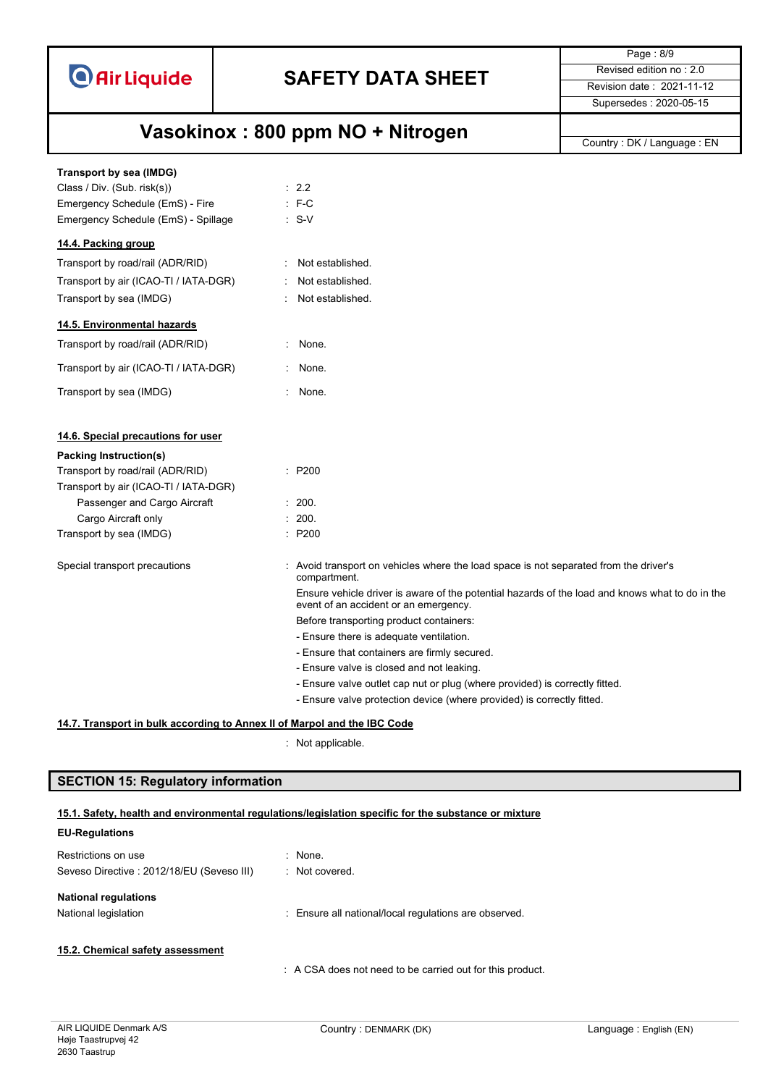

Page : 8/9 Supersedes : 2020-05-15

## **Vasokinox : 800 ppm NO + Nitrogen** Country : DK / Language : EN

| Transport by sea (IMDG)               |                                                                                                                                          |
|---------------------------------------|------------------------------------------------------------------------------------------------------------------------------------------|
| Class / Div. (Sub. risk(s))           | : 2.2                                                                                                                                    |
| Emergency Schedule (EmS) - Fire       | $: F-C$                                                                                                                                  |
| Emergency Schedule (EmS) - Spillage   | $\therefore$ S-V                                                                                                                         |
| 14.4. Packing group                   |                                                                                                                                          |
| Transport by road/rail (ADR/RID)      | Not established.                                                                                                                         |
| Transport by air (ICAO-TI / IATA-DGR) | Not established.                                                                                                                         |
| Transport by sea (IMDG)               | Not established.                                                                                                                         |
| 14.5. Environmental hazards           |                                                                                                                                          |
| Transport by road/rail (ADR/RID)      | : None.                                                                                                                                  |
| Transport by air (ICAO-TI / IATA-DGR) | : None.                                                                                                                                  |
| Transport by sea (IMDG)               | : None.                                                                                                                                  |
| 14.6. Special precautions for user    |                                                                                                                                          |
| Packing Instruction(s)                |                                                                                                                                          |
| Transport by road/rail (ADR/RID)      | $\therefore$ P200                                                                                                                        |
| Transport by air (ICAO-TI / IATA-DGR) |                                                                                                                                          |
| Passenger and Cargo Aircraft          | : 200.                                                                                                                                   |
| Cargo Aircraft only                   | : 200.                                                                                                                                   |
| Transport by sea (IMDG)               | $\therefore$ P200                                                                                                                        |
| Special transport precautions         | : Avoid transport on vehicles where the load space is not separated from the driver's<br>compartment.                                    |
|                                       | Ensure vehicle driver is aware of the potential hazards of the load and knows what to do in the<br>event of an accident or an emergency. |
|                                       | Before transporting product containers:                                                                                                  |
|                                       | - Ensure there is adequate ventilation.                                                                                                  |
|                                       | - Ensure that containers are firmly secured.                                                                                             |
|                                       | - Ensure valve is closed and not leaking.                                                                                                |
|                                       | - Ensure valve outlet cap nut or plug (where provided) is correctly fitted.                                                              |
|                                       | - Ensure valve protection device (where provided) is correctly fitted.                                                                   |

#### **14.7. Transport in bulk according to Annex II of Marpol and the IBC Code**

: Not applicable.

### **SECTION 15: Regulatory information**

#### **15.1. Safety, health and environmental regulations/legislation specific for the substance or mixture**

| <b>EU-Regulations</b>                     |                                                           |
|-------------------------------------------|-----------------------------------------------------------|
| Restrictions on use                       | $\therefore$ None.                                        |
| Seveso Directive: 2012/18/EU (Seveso III) | : Not covered.                                            |
| <b>National regulations</b>               |                                                           |
| National legislation                      | : Ensure all national/local regulations are observed.     |
| 15.2. Chemical safety assessment          |                                                           |
|                                           |                                                           |
|                                           | : A CSA does not need to be carried out for this product. |